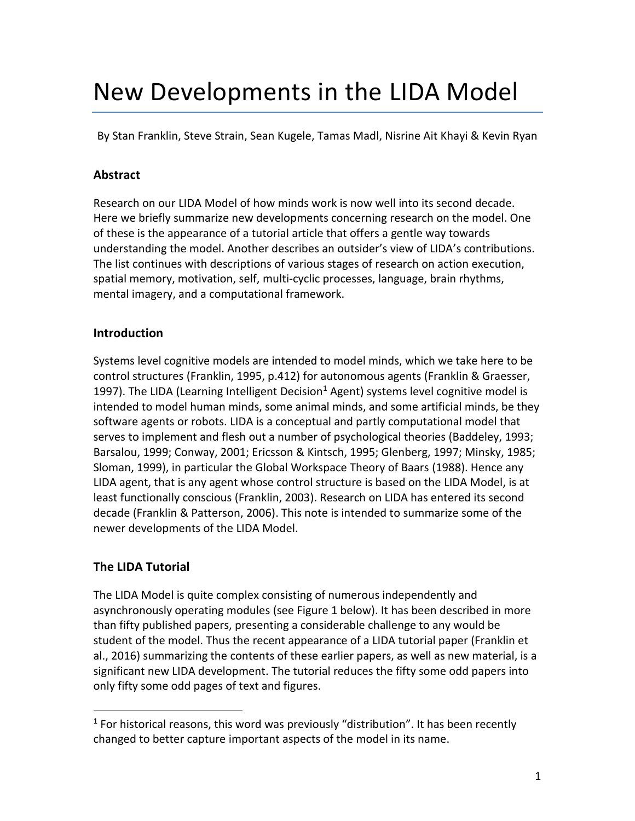# New Developments in the LIDA Model

By Stan Franklin, Steve Strain, Sean Kugele, Tamas Madl, Nisrine Ait Khayi & Kevin Ryan

## **Abstract**

Research on our LIDA Model of how minds work is now well into its second decade. Here we briefly summarize new developments concerning research on the model. One of these is the appearance of a tutorial article that offers a gentle way towards understanding the model. Another describes an outsider's view of LIDA's contributions. The list continues with descriptions of various stages of research on action execution, spatial memory, motivation, self, multi-cyclic processes, language, brain rhythms, mental imagery, and a computational framework.

## **Introduction**

Systems level cognitive models are intended to model minds, which we take here to be control structures (Franklin, 1995, p.412) for autonomous agents (Franklin & Graesser, 1997). The LIDA (Learning Intelligent Decision<sup>1</sup> Agent) systems level cognitive model is intended to model human minds, some animal minds, and some artificial minds, be they software agents or robots. LIDA is a conceptual and partly computational model that serves to implement and flesh out a number of psychological theories (Baddeley, 1993; Barsalou, 1999; Conway, 2001; Ericsson & Kintsch, 1995; Glenberg, 1997; Minsky, 1985; Sloman, 1999), in particular the Global Workspace Theory of Baars (1988). Hence any LIDA agent, that is any agent whose control structure is based on the LIDA Model, is at least functionally conscious (Franklin, 2003). Research on LIDA has entered its second decade (Franklin & Patterson, 2006). This note is intended to summarize some of the newer developments of the LIDA Model.

## **The LIDA Tutorial**

The LIDA Model is quite complex consisting of numerous independently and asynchronously operating modules (see Figure 1 below). It has been described in more than fifty published papers, presenting a considerable challenge to any would be student of the model. Thus the recent appearance of a LIDA tutorial paper (Franklin et al., 2016) summarizing the contents of these earlier papers, as well as new material, is a significant new LIDA development. The tutorial reduces the fifty some odd papers into only fifty some odd pages of text and figures.

 $1$  For historical reasons, this word was previously "distribution". It has been recently changed to better capture important aspects of the model in its name.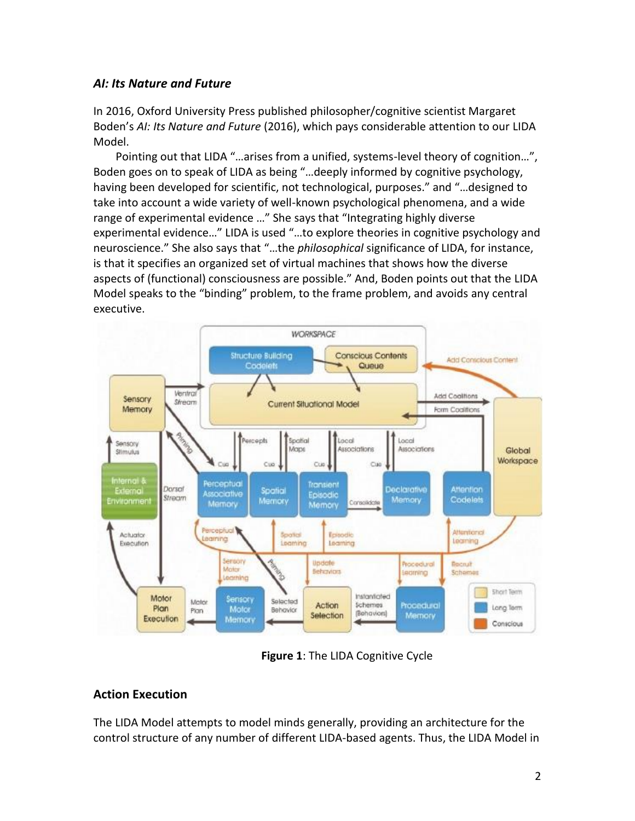## *AI: Its Nature and Future*

In 2016, Oxford University Press published philosopher/cognitive scientist Margaret Boden's *AI: Its Nature and Future* (2016), which pays considerable attention to our LIDA Model.

Pointing out that LIDA "…arises from a unified, systems-level theory of cognition…", Boden goes on to speak of LIDA as being "…deeply informed by cognitive psychology, having been developed for scientific, not technological, purposes." and "…designed to take into account a wide variety of well-known psychological phenomena, and a wide range of experimental evidence …" She says that "Integrating highly diverse experimental evidence…" LIDA is used "…to explore theories in cognitive psychology and neuroscience." She also says that "…the *philosophical* significance of LIDA, for instance, is that it specifies an organized set of virtual machines that shows how the diverse aspects of (functional) consciousness are possible." And, Boden points out that the LIDA Model speaks to the "binding" problem, to the frame problem, and avoids any central executive.



**Figure 1**: The LIDA Cognitive Cycle

## **Action Execution**

The LIDA Model attempts to model minds generally, providing an architecture for the control structure of any number of different LIDA-based agents. Thus, the LIDA Model in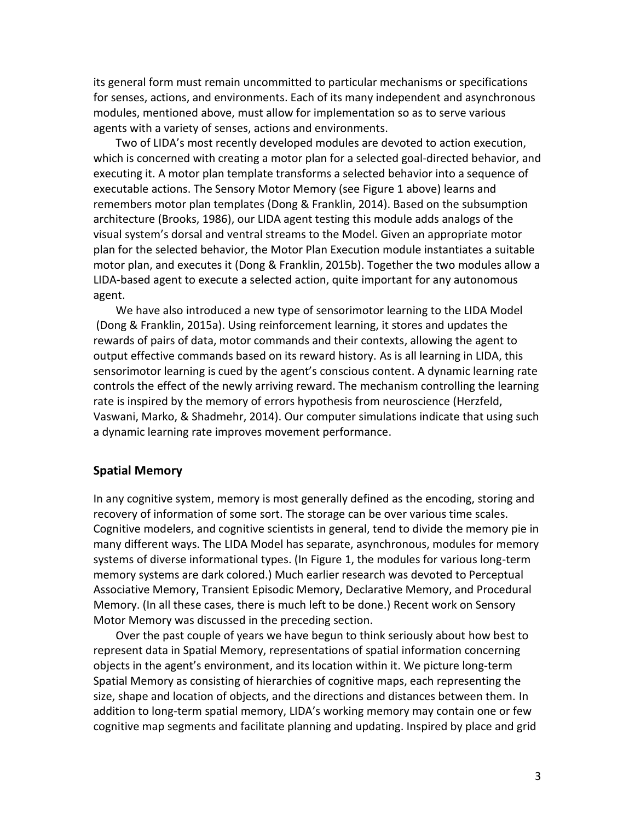its general form must remain uncommitted to particular mechanisms or specifications for senses, actions, and environments. Each of its many independent and asynchronous modules, mentioned above, must allow for implementation so as to serve various agents with a variety of senses, actions and environments.

Two of LIDA's most recently developed modules are devoted to action execution, which is concerned with creating a motor plan for a selected goal-directed behavior, and executing it. A motor plan template transforms a selected behavior into a sequence of executable actions. The Sensory Motor Memory (see Figure 1 above) learns and remembers motor plan templates (Dong & Franklin, 2014). Based on the subsumption architecture (Brooks, 1986), our LIDA agent testing this module adds analogs of the visual system's dorsal and ventral streams to the Model. Given an appropriate motor plan for the selected behavior, the Motor Plan Execution module instantiates a suitable motor plan, and executes it (Dong & Franklin, 2015b). Together the two modules allow a LIDA-based agent to execute a selected action, quite important for any autonomous agent.

We have also introduced a new type of sensorimotor learning to the LIDA Model (Dong & Franklin, 2015a). Using reinforcement learning, it stores and updates the rewards of pairs of data, motor commands and their contexts, allowing the agent to output effective commands based on its reward history. As is all learning in LIDA, this sensorimotor learning is cued by the agent's conscious content. A dynamic learning rate controls the effect of the newly arriving reward. The mechanism controlling the learning rate is inspired by the memory of errors hypothesis from neuroscience (Herzfeld, Vaswani, Marko, & Shadmehr, 2014). Our computer simulations indicate that using such a dynamic learning rate improves movement performance.

#### **Spatial Memory**

In any cognitive system, memory is most generally defined as the encoding, storing and recovery of information of some sort. The storage can be over various time scales. Cognitive modelers, and cognitive scientists in general, tend to divide the memory pie in many different ways. The LIDA Model has separate, asynchronous, modules for memory systems of diverse informational types. (In Figure 1, the modules for various long-term memory systems are dark colored.) Much earlier research was devoted to Perceptual Associative Memory, Transient Episodic Memory, Declarative Memory, and Procedural Memory. (In all these cases, there is much left to be done.) Recent work on Sensory Motor Memory was discussed in the preceding section.

Over the past couple of years we have begun to think seriously about how best to represent data in Spatial Memory, representations of spatial information concerning objects in the agent's environment, and its location within it. We picture long-term Spatial Memory as consisting of hierarchies of cognitive maps, each representing the size, shape and location of objects, and the directions and distances between them. In addition to long-term spatial memory, LIDA's working memory may contain one or few cognitive map segments and facilitate planning and updating. Inspired by place and grid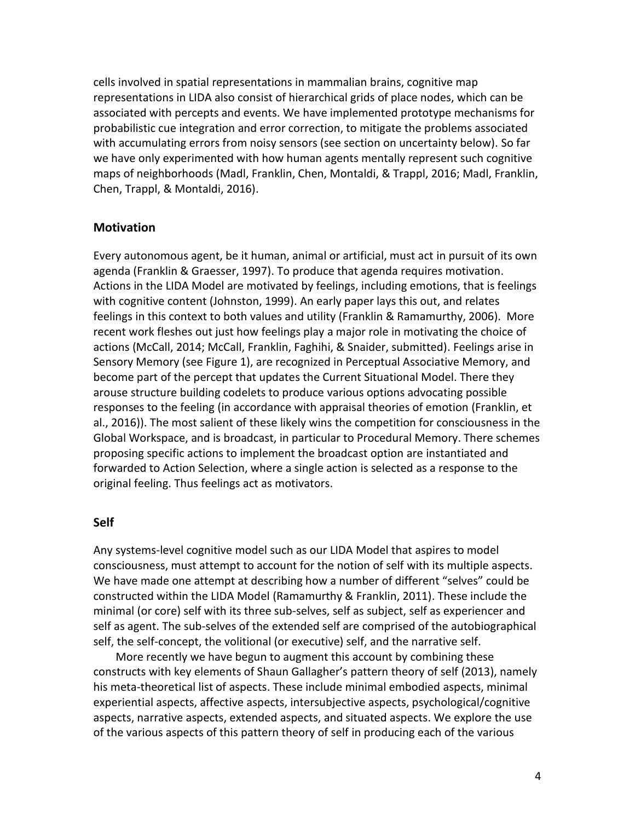cells involved in spatial representations in mammalian brains, cognitive map representations in LIDA also consist of hierarchical grids of place nodes, which can be associated with percepts and events. We have implemented prototype mechanisms for probabilistic cue integration and error correction, to mitigate the problems associated with accumulating errors from noisy sensors (see section on uncertainty below). So far we have only experimented with how human agents mentally represent such cognitive maps of neighborhoods (Madl, Franklin, Chen, Montaldi, & Trappl, 2016; Madl, Franklin, Chen, Trappl, & Montaldi, 2016).

#### **Motivation**

Every autonomous agent, be it human, animal or artificial, must act in pursuit of its own agenda (Franklin & Graesser, 1997). To produce that agenda requires motivation. Actions in the LIDA Model are motivated by feelings, including emotions, that is feelings with cognitive content (Johnston, 1999). An early paper lays this out, and relates feelings in this context to both values and utility (Franklin & Ramamurthy, 2006). More recent work fleshes out just how feelings play a major role in motivating the choice of actions (McCall, 2014; McCall, Franklin, Faghihi, & Snaider, submitted). Feelings arise in Sensory Memory (see Figure 1), are recognized in Perceptual Associative Memory, and become part of the percept that updates the Current Situational Model. There they arouse structure building codelets to produce various options advocating possible responses to the feeling (in accordance with appraisal theories of emotion (Franklin, et al., 2016)). The most salient of these likely wins the competition for consciousness in the Global Workspace, and is broadcast, in particular to Procedural Memory. There schemes proposing specific actions to implement the broadcast option are instantiated and forwarded to Action Selection, where a single action is selected as a response to the original feeling. Thus feelings act as motivators.

#### **Self**

Any systems-level cognitive model such as our LIDA Model that aspires to model consciousness, must attempt to account for the notion of self with its multiple aspects. We have made one attempt at describing how a number of different "selves" could be constructed within the LIDA Model (Ramamurthy & Franklin, 2011). These include the minimal (or core) self with its three sub-selves, self as subject, self as experiencer and self as agent. The sub-selves of the extended self are comprised of the autobiographical self, the self-concept, the volitional (or executive) self, and the narrative self.

More recently we have begun to augment this account by combining these constructs with key elements of Shaun Gallagher's pattern theory of self (2013), namely his meta-theoretical list of aspects. These include minimal embodied aspects, minimal experiential aspects, affective aspects, intersubjective aspects, psychological/cognitive aspects, narrative aspects, extended aspects, and situated aspects. We explore the use of the various aspects of this pattern theory of self in producing each of the various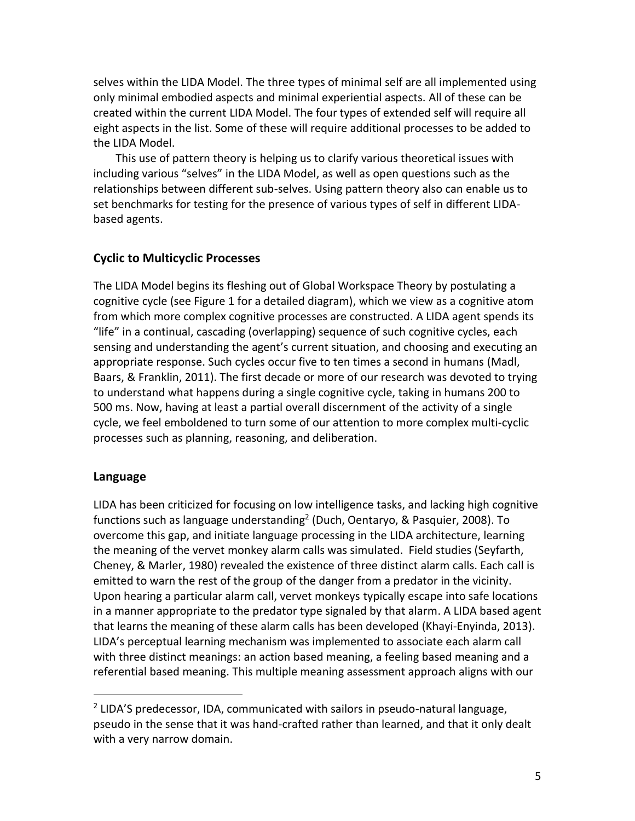selves within the LIDA Model. The three types of minimal self are all implemented using only minimal embodied aspects and minimal experiential aspects. All of these can be created within the current LIDA Model. The four types of extended self will require all eight aspects in the list. Some of these will require additional processes to be added to the LIDA Model.

This use of pattern theory is helping us to clarify various theoretical issues with including various "selves" in the LIDA Model, as well as open questions such as the relationships between different sub-selves. Using pattern theory also can enable us to set benchmarks for testing for the presence of various types of self in different LIDAbased agents.

## **Cyclic to Multicyclic Processes**

The LIDA Model begins its fleshing out of Global Workspace Theory by postulating a cognitive cycle (see Figure 1 for a detailed diagram), which we view as a cognitive atom from which more complex cognitive processes are constructed. A LIDA agent spends its "life" in a continual, cascading (overlapping) sequence of such cognitive cycles, each sensing and understanding the agent's current situation, and choosing and executing an appropriate response. Such cycles occur five to ten times a second in humans (Madl, Baars, & Franklin, 2011). The first decade or more of our research was devoted to trying to understand what happens during a single cognitive cycle, taking in humans 200 to 500 ms. Now, having at least a partial overall discernment of the activity of a single cycle, we feel emboldened to turn some of our attention to more complex multi-cyclic processes such as planning, reasoning, and deliberation.

## **Language**

LIDA has been criticized for focusing on low intelligence tasks, and lacking high cognitive functions such as language understanding<sup>2</sup> (Duch, Oentaryo, & Pasquier, 2008). To overcome this gap, and initiate language processing in the LIDA architecture, learning the meaning of the vervet monkey alarm calls was simulated. Field studies (Seyfarth, Cheney, & Marler, 1980) revealed the existence of three distinct alarm calls. Each call is emitted to warn the rest of the group of the danger from a predator in the vicinity. Upon hearing a particular alarm call, vervet monkeys typically escape into safe locations in a manner appropriate to the predator type signaled by that alarm. A LIDA based agent that learns the meaning of these alarm calls has been developed (Khayi-Enyinda, 2013). LIDA's perceptual learning mechanism was implemented to associate each alarm call with three distinct meanings: an action based meaning, a feeling based meaning and a referential based meaning. This multiple meaning assessment approach aligns with our

<sup>&</sup>lt;sup>2</sup> LIDA'S predecessor, IDA, communicated with sailors in pseudo-natural language, pseudo in the sense that it was hand-crafted rather than learned, and that it only dealt with a very narrow domain.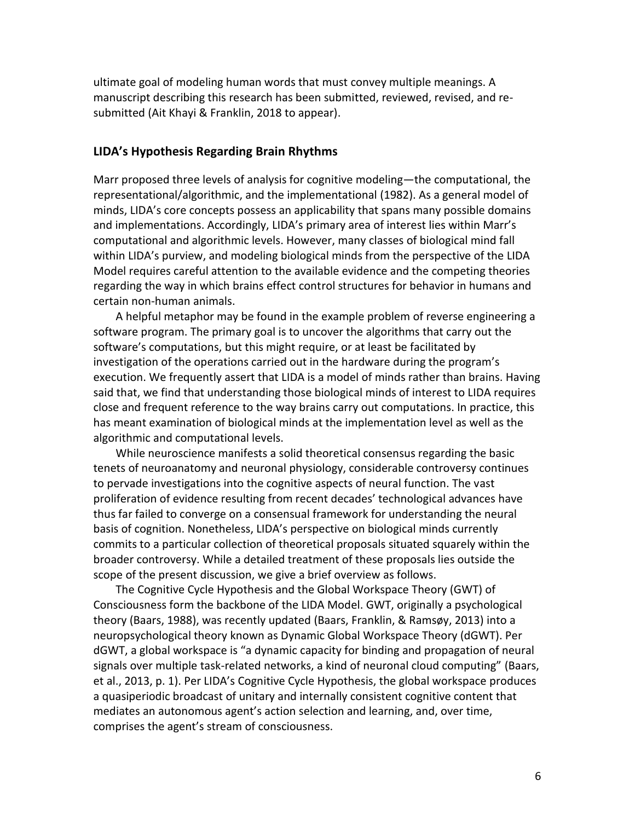ultimate goal of modeling human words that must convey multiple meanings. A manuscript describing this research has been submitted, reviewed, revised, and resubmitted (Ait Khayi & Franklin, 2018 to appear).

#### **LIDA's Hypothesis Regarding Brain Rhythms**

Marr proposed three levels of analysis for cognitive modeling—the computational, the representational/algorithmic, and the implementational (1982). As a general model of minds, LIDA's core concepts possess an applicability that spans many possible domains and implementations. Accordingly, LIDA's primary area of interest lies within Marr's computational and algorithmic levels. However, many classes of biological mind fall within LIDA's purview, and modeling biological minds from the perspective of the LIDA Model requires careful attention to the available evidence and the competing theories regarding the way in which brains effect control structures for behavior in humans and certain non-human animals.

A helpful metaphor may be found in the example problem of reverse engineering a software program. The primary goal is to uncover the algorithms that carry out the software's computations, but this might require, or at least be facilitated by investigation of the operations carried out in the hardware during the program's execution. We frequently assert that LIDA is a model of minds rather than brains. Having said that, we find that understanding those biological minds of interest to LIDA requires close and frequent reference to the way brains carry out computations. In practice, this has meant examination of biological minds at the implementation level as well as the algorithmic and computational levels.

While neuroscience manifests a solid theoretical consensus regarding the basic tenets of neuroanatomy and neuronal physiology, considerable controversy continues to pervade investigations into the cognitive aspects of neural function. The vast proliferation of evidence resulting from recent decades' technological advances have thus far failed to converge on a consensual framework for understanding the neural basis of cognition. Nonetheless, LIDA's perspective on biological minds currently commits to a particular collection of theoretical proposals situated squarely within the broader controversy. While a detailed treatment of these proposals lies outside the scope of the present discussion, we give a brief overview as follows.

The Cognitive Cycle Hypothesis and the Global Workspace Theory (GWT) of Consciousness form the backbone of the LIDA Model. GWT, originally a psychological theory (Baars, 1988), was recently updated (Baars, Franklin, & Ramsøy, 2013) into a neuropsychological theory known as Dynamic Global Workspace Theory (dGWT). Per dGWT, a global workspace is "a dynamic capacity for binding and propagation of neural signals over multiple task-related networks, a kind of neuronal cloud computing" (Baars, et al., 2013, p. 1). Per LIDA's Cognitive Cycle Hypothesis, the global workspace produces a quasiperiodic broadcast of unitary and internally consistent cognitive content that mediates an autonomous agent's action selection and learning, and, over time, comprises the agent's stream of consciousness.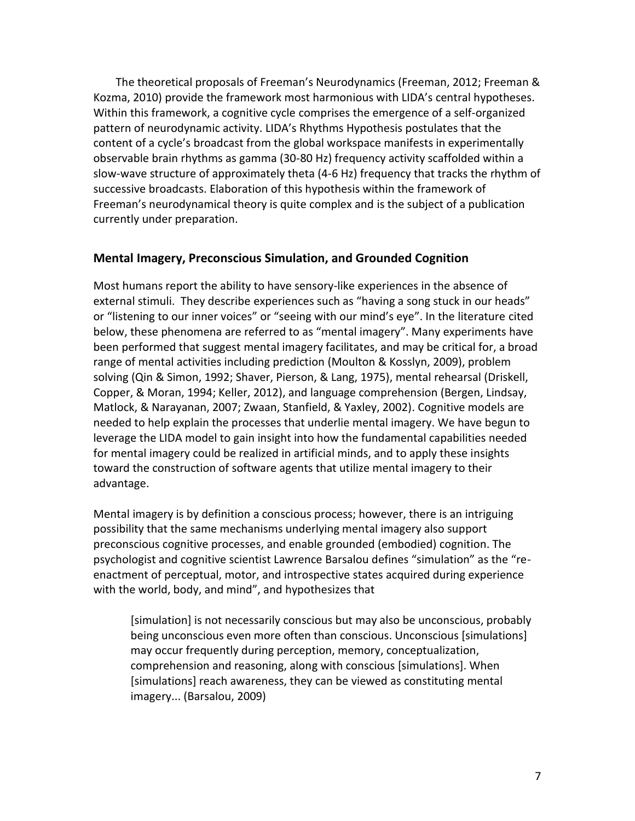The theoretical proposals of Freeman's Neurodynamics (Freeman, 2012; Freeman & Kozma, 2010) provide the framework most harmonious with LIDA's central hypotheses. Within this framework, a cognitive cycle comprises the emergence of a self-organized pattern of neurodynamic activity. LIDA's Rhythms Hypothesis postulates that the content of a cycle's broadcast from the global workspace manifests in experimentally observable brain rhythms as gamma (30-80 Hz) frequency activity scaffolded within a slow-wave structure of approximately theta (4-6 Hz) frequency that tracks the rhythm of successive broadcasts. Elaboration of this hypothesis within the framework of Freeman's neurodynamical theory is quite complex and is the subject of a publication currently under preparation.

## **Mental Imagery, Preconscious Simulation, and Grounded Cognition**

Most humans report the ability to have sensory-like experiences in the absence of external stimuli. They describe experiences such as "having a song stuck in our heads" or "listening to our inner voices" or "seeing with our mind's eye". In the literature cited below, these phenomena are referred to as "mental imagery". Many experiments have been performed that suggest mental imagery facilitates, and may be critical for, a broad range of mental activities including prediction (Moulton & Kosslyn, 2009), problem solving (Qin & Simon, 1992; Shaver, Pierson, & Lang, 1975), mental rehearsal (Driskell, Copper, & Moran, 1994; Keller, 2012), and language comprehension (Bergen, Lindsay, Matlock, & Narayanan, 2007; Zwaan, Stanfield, & Yaxley, 2002). Cognitive models are needed to help explain the processes that underlie mental imagery. We have begun to leverage the LIDA model to gain insight into how the fundamental capabilities needed for mental imagery could be realized in artificial minds, and to apply these insights toward the construction of software agents that utilize mental imagery to their advantage.

Mental imagery is by definition a conscious process; however, there is an intriguing possibility that the same mechanisms underlying mental imagery also support preconscious cognitive processes, and enable grounded (embodied) cognition. The psychologist and cognitive scientist Lawrence Barsalou defines "simulation" as the "reenactment of perceptual, motor, and introspective states acquired during experience with the world, body, and mind", and hypothesizes that

[simulation] is not necessarily conscious but may also be unconscious, probably being unconscious even more often than conscious. Unconscious [simulations] may occur frequently during perception, memory, conceptualization, comprehension and reasoning, along with conscious [simulations]. When [simulations] reach awareness, they can be viewed as constituting mental imagery... (Barsalou, 2009)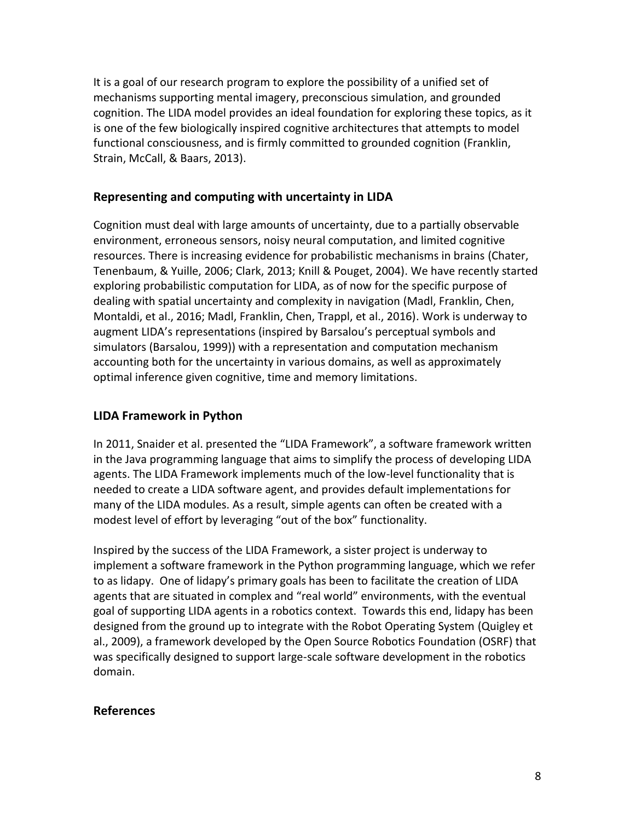It is a goal of our research program to explore the possibility of a unified set of mechanisms supporting mental imagery, preconscious simulation, and grounded cognition. The LIDA model provides an ideal foundation for exploring these topics, as it is one of the few biologically inspired cognitive architectures that attempts to model functional consciousness, and is firmly committed to grounded cognition (Franklin, Strain, McCall, & Baars, 2013).

## **Representing and computing with uncertainty in LIDA**

Cognition must deal with large amounts of uncertainty, due to a partially observable environment, erroneous sensors, noisy neural computation, and limited cognitive resources. There is increasing evidence for probabilistic mechanisms in brains (Chater, Tenenbaum, & Yuille, 2006; Clark, 2013; Knill & Pouget, 2004). We have recently started exploring probabilistic computation for LIDA, as of now for the specific purpose of dealing with spatial uncertainty and complexity in navigation (Madl, Franklin, Chen, Montaldi, et al., 2016; Madl, Franklin, Chen, Trappl, et al., 2016). Work is underway to augment LIDA's representations (inspired by Barsalou's perceptual symbols and simulators (Barsalou, 1999)) with a representation and computation mechanism accounting both for the uncertainty in various domains, as well as approximately optimal inference given cognitive, time and memory limitations.

## **LIDA Framework in Python**

In 2011, Snaider et al. presented the "LIDA Framework", a software framework written in the Java programming language that aims to simplify the process of developing LIDA agents. The LIDA Framework implements much of the low-level functionality that is needed to create a LIDA software agent, and provides default implementations for many of the LIDA modules. As a result, simple agents can often be created with a modest level of effort by leveraging "out of the box" functionality.

Inspired by the success of the LIDA Framework, a sister project is underway to implement a software framework in the Python programming language, which we refer to as lidapy. One of lidapy's primary goals has been to facilitate the creation of LIDA agents that are situated in complex and "real world" environments, with the eventual goal of supporting LIDA agents in a robotics context. Towards this end, lidapy has been designed from the ground up to integrate with the Robot Operating System (Quigley et al., 2009), a framework developed by the Open Source Robotics Foundation (OSRF) that was specifically designed to support large-scale software development in the robotics domain.

## **References**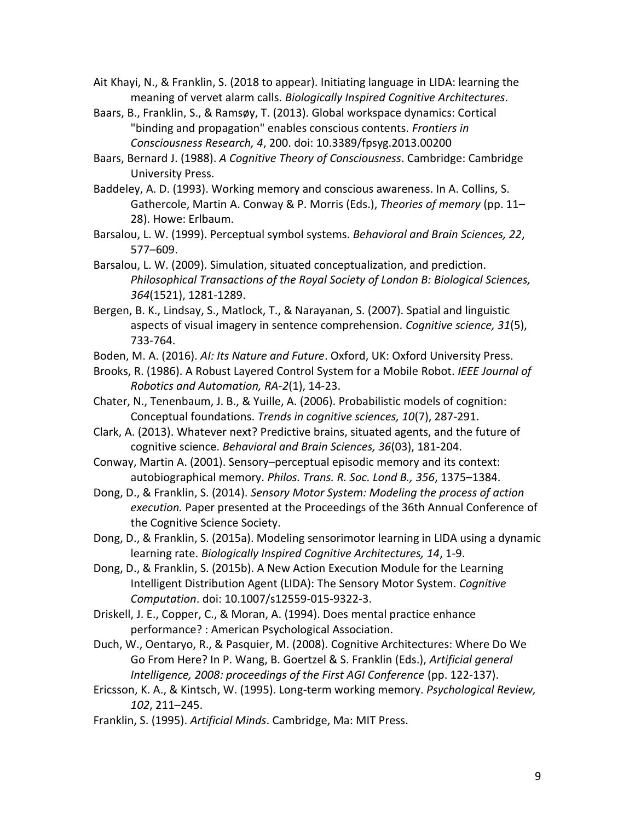Ait Khayi, N., & Franklin, S. (2018 to appear). Initiating language in LIDA: learning the meaning of vervet alarm calls. *Biologically Inspired Cognitive Architectures*.

- Baars, B., Franklin, S., & Ramsøy, T. (2013). Global workspace dynamics: Cortical "binding and propagation" enables conscious contents. *Frontiers in Consciousness Research, 4*, 200. doi: 10.3389/fpsyg.2013.00200
- Baars, Bernard J. (1988). *A Cognitive Theory of Consciousness*. Cambridge: Cambridge University Press.
- Baddeley, A. D. (1993). Working memory and conscious awareness. In A. Collins, S. Gathercole, Martin A. Conway & P. Morris (Eds.), *Theories of memory* (pp. 11– 28). Howe: Erlbaum.
- Barsalou, L. W. (1999). Perceptual symbol systems. *Behavioral and Brain Sciences, 22*, 577–609.
- Barsalou, L. W. (2009). Simulation, situated conceptualization, and prediction. *Philosophical Transactions of the Royal Society of London B: Biological Sciences, 364*(1521), 1281-1289.
- Bergen, B. K., Lindsay, S., Matlock, T., & Narayanan, S. (2007). Spatial and linguistic aspects of visual imagery in sentence comprehension. *Cognitive science, 31*(5), 733-764.
- Boden, M. A. (2016). *AI: Its Nature and Future*. Oxford, UK: Oxford University Press.
- Brooks, R. (1986). A Robust Layered Control System for a Mobile Robot. *IEEE Journal of Robotics and Automation, RA-2*(1), 14-23.
- Chater, N., Tenenbaum, J. B., & Yuille, A. (2006). Probabilistic models of cognition: Conceptual foundations. *Trends in cognitive sciences, 10*(7), 287-291.
- Clark, A. (2013). Whatever next? Predictive brains, situated agents, and the future of cognitive science. *Behavioral and Brain Sciences, 36*(03), 181-204.
- Conway, Martin A. (2001). Sensory–perceptual episodic memory and its context: autobiographical memory. *Philos. Trans. R. Soc. Lond B., 356*, 1375–1384.
- Dong, D., & Franklin, S. (2014). *Sensory Motor System: Modeling the process of action execution.* Paper presented at the Proceedings of the 36th Annual Conference of the Cognitive Science Society.
- Dong, D., & Franklin, S. (2015a). Modeling sensorimotor learning in LIDA using a dynamic learning rate. *Biologically Inspired Cognitive Architectures, 14*, 1-9.
- Dong, D., & Franklin, S. (2015b). A New Action Execution Module for the Learning Intelligent Distribution Agent (LIDA): The Sensory Motor System. *Cognitive Computation*. doi: 10.1007/s12559-015-9322-3.
- Driskell, J. E., Copper, C., & Moran, A. (1994). Does mental practice enhance performance? : American Psychological Association.
- Duch, W., Oentaryo, R., & Pasquier, M. (2008). Cognitive Architectures: Where Do We Go From Here? In P. Wang, B. Goertzel & S. Franklin (Eds.), *Artificial general Intelligence, 2008: proceedings of the First AGI Conference* (pp. 122-137).
- Ericsson, K. A., & Kintsch, W. (1995). Long-term working memory. *Psychological Review, 102*, 211–245.
- Franklin, S. (1995). *Artificial Minds*. Cambridge, Ma: MIT Press.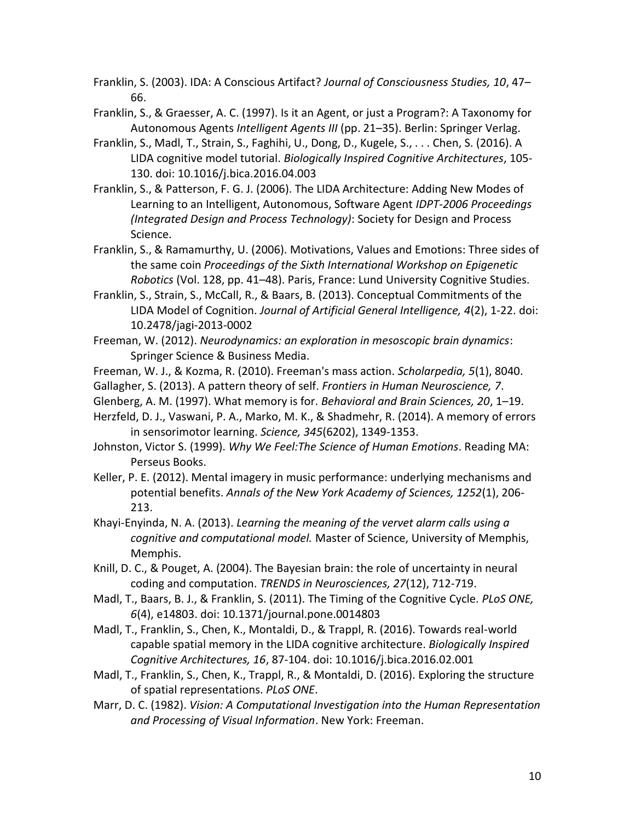Franklin, S. (2003). IDA: A Conscious Artifact? *Journal of Consciousness Studies, 10*, 47– 66.

- Franklin, S., & Graesser, A. C. (1997). Is it an Agent, or just a Program?: A Taxonomy for Autonomous Agents *Intelligent Agents III* (pp. 21–35). Berlin: Springer Verlag.
- Franklin, S., Madl, T., Strain, S., Faghihi, U., Dong, D., Kugele, S., . . . Chen, S. (2016). A LIDA cognitive model tutorial. *Biologically Inspired Cognitive Architectures*, 105- 130. doi: 10.1016/j.bica.2016.04.003
- Franklin, S., & Patterson, F. G. J. (2006). The LIDA Architecture: Adding New Modes of Learning to an Intelligent, Autonomous, Software Agent *IDPT-2006 Proceedings (Integrated Design and Process Technology)*: Society for Design and Process Science.
- Franklin, S., & Ramamurthy, U. (2006). Motivations, Values and Emotions: Three sides of the same coin *Proceedings of the Sixth International Workshop on Epigenetic Robotics* (Vol. 128, pp. 41–48). Paris, France: Lund University Cognitive Studies.
- Franklin, S., Strain, S., McCall, R., & Baars, B. (2013). Conceptual Commitments of the LIDA Model of Cognition. *Journal of Artificial General Intelligence, 4*(2), 1-22. doi: 10.2478/jagi-2013-0002
- Freeman, W. (2012). *Neurodynamics: an exploration in mesoscopic brain dynamics*: Springer Science & Business Media.
- Freeman, W. J., & Kozma, R. (2010). Freeman's mass action. *Scholarpedia, 5*(1), 8040.
- Gallagher, S. (2013). A pattern theory of self. *Frontiers in Human Neuroscience, 7*.
- Glenberg, A. M. (1997). What memory is for. *Behavioral and Brain Sciences, 20*, 1–19.
- Herzfeld, D. J., Vaswani, P. A., Marko, M. K., & Shadmehr, R. (2014). A memory of errors in sensorimotor learning. *Science, 345*(6202), 1349-1353.
- Johnston, Victor S. (1999). *Why We Feel:The Science of Human Emotions*. Reading MA: Perseus Books.
- Keller, P. E. (2012). Mental imagery in music performance: underlying mechanisms and potential benefits. *Annals of the New York Academy of Sciences, 1252*(1), 206- 213.
- Khayi-Enyinda, N. A. (2013). *Learning the meaning of the vervet alarm calls using a cognitive and computational model.* Master of Science, University of Memphis, Memphis.
- Knill, D. C., & Pouget, A. (2004). The Bayesian brain: the role of uncertainty in neural coding and computation. *TRENDS in Neurosciences, 27*(12), 712-719.
- Madl, T., Baars, B. J., & Franklin, S. (2011). The Timing of the Cognitive Cycle. *PLoS ONE, 6*(4), e14803. doi: 10.1371/journal.pone.0014803
- Madl, T., Franklin, S., Chen, K., Montaldi, D., & Trappl, R. (2016). Towards real-world capable spatial memory in the LIDA cognitive architecture. *Biologically Inspired Cognitive Architectures, 16*, 87-104. doi: 10.1016/j.bica.2016.02.001
- Madl, T., Franklin, S., Chen, K., Trappl, R., & Montaldi, D. (2016). Exploring the structure of spatial representations. *PLoS ONE*.
- Marr, D. C. (1982). *Vision: A Computational Investigation into the Human Representation and Processing of Visual Information*. New York: Freeman.